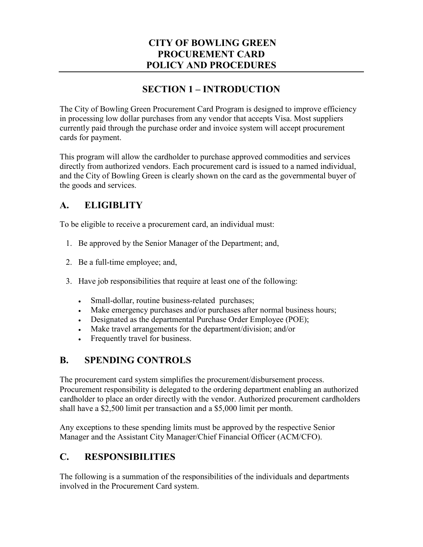### **CITY OF BOWLING GREEN PROCUREMENT CARD POLICY AND PROCEDURES**

### **SECTION 1 – INTRODUCTION**

The City of Bowling Green Procurement Card Program is designed to improve efficiency in processing low dollar purchases from any vendor that accepts Visa. Most suppliers currently paid through the purchase order and invoice system will accept procurement cards for payment.

This program will allow the cardholder to purchase approved commodities and services directly from authorized vendors. Each procurement card is issued to a named individual, and the City of Bowling Green is clearly shown on the card as the governmental buyer of the goods and services.

### **A. ELIGIBLITY**

To be eligible to receive a procurement card, an individual must:

- 1. Be approved by the Senior Manager of the Department; and,
- 2. Be a full-time employee; and,
- 3. Have job responsibilities that require at least one of the following:
	- Small-dollar, routine business-related purchases;
	- Make emergency purchases and/or purchases after normal business hours;
	- Designated as the departmental Purchase Order Employee (POE);
	- Make travel arrangements for the department/division; and/or
	- Frequently travel for business.

### **B. SPENDING CONTROLS**

The procurement card system simplifies the procurement/disbursement process. Procurement responsibility is delegated to the ordering department enabling an authorized cardholder to place an order directly with the vendor. Authorized procurement cardholders shall have a \$2,500 limit per transaction and a \$5,000 limit per month.

Any exceptions to these spending limits must be approved by the respective Senior Manager and the Assistant City Manager/Chief Financial Officer (ACM/CFO).

### **C. RESPONSIBILITIES**

The following is a summation of the responsibilities of the individuals and departments involved in the Procurement Card system.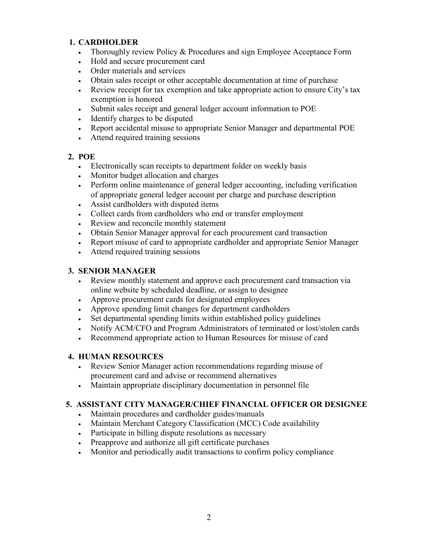#### **1. CARDHOLDER**

- Thoroughly review Policy & Procedures and sign Employee Acceptance Form
- Hold and secure procurement card
- Order materials and services
- Obtain sales receipt or other acceptable documentation at time of purchase
- Review receipt for tax exemption and take appropriate action to ensure City's tax exemption is honored
- Submit sales receipt and general ledger account information to POE
- Identify charges to be disputed
- Report accidental misuse to appropriate Senior Manager and departmental POE
- Attend required training sessions

#### **2. POE**

- Electronically scan receipts to department folder on weekly basis
- Monitor budget allocation and charges
- Perform online maintenance of general ledger accounting, including verification of appropriate general ledger account per charge and purchase description
- Assist cardholders with disputed items
- Collect cards from cardholders who end or transfer employment
- Review and reconcile monthly statement
- Obtain Senior Manager approval for each procurement card transaction
- Report misuse of card to appropriate cardholder and appropriate Senior Manager
- Attend required training sessions

#### **3. SENIOR MANAGER**

- Review monthly statement and approve each procurement card transaction via online website by scheduled deadline, or assign to designee
- Approve procurement cards for designated employees
- Approve spending limit changes for department cardholders
- Set departmental spending limits within established policy guidelines
- Notify ACM/CFO and Program Administrators of terminated or lost/stolen cards
- Recommend appropriate action to Human Resources for misuse of card

#### **4. HUMAN RESOURCES**

- Review Senior Manager action recommendations regarding misuse of procurement card and advise or recommend alternatives
- Maintain appropriate disciplinary documentation in personnel file

#### **5. ASSISTANT CITY MANAGER/CHIEF FINANCIAL OFFICER OR DESIGNEE**

- Maintain procedures and cardholder guides/manuals
- Maintain Merchant Category Classification (MCC) Code availability
- Participate in billing dispute resolutions as necessary
- Preapprove and authorize all gift certificate purchases
- Monitor and periodically audit transactions to confirm policy compliance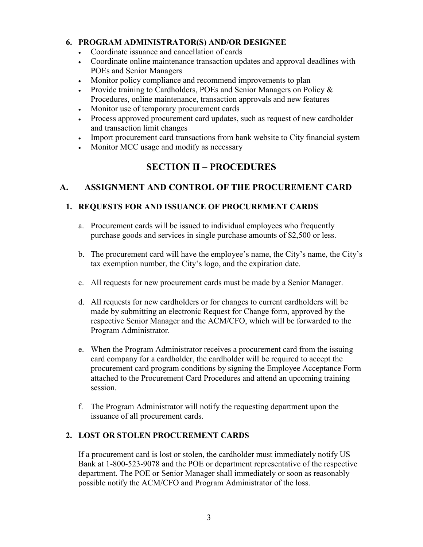#### **6. PROGRAM ADMINISTRATOR(S) AND/OR DESIGNEE**

- Coordinate issuance and cancellation of cards
- Coordinate online maintenance transaction updates and approval deadlines with POEs and Senior Managers
- Monitor policy compliance and recommend improvements to plan
- Provide training to Cardholders, POEs and Senior Managers on Policy & Procedures, online maintenance, transaction approvals and new features
- Monitor use of temporary procurement cards
- Process approved procurement card updates, such as request of new cardholder and transaction limit changes
- Import procurement card transactions from bank website to City financial system
- Monitor MCC usage and modify as necessary

## **SECTION II – PROCEDURES**

### **A. ASSIGNMENT AND CONTROL OF THE PROCUREMENT CARD**

#### **1. REQUESTS FOR AND ISSUANCE OF PROCUREMENT CARDS**

- a. Procurement cards will be issued to individual employees who frequently purchase goods and services in single purchase amounts of \$2,500 or less.
- b. The procurement card will have the employee's name, the City's name, the City's tax exemption number, the City's logo, and the expiration date.
- c. All requests for new procurement cards must be made by a Senior Manager.
- d. All requests for new cardholders or for changes to current cardholders will be made by submitting an electronic Request for Change form, approved by the respective Senior Manager and the ACM/CFO, which will be forwarded to the Program Administrator.
- e. When the Program Administrator receives a procurement card from the issuing card company for a cardholder, the cardholder will be required to accept the procurement card program conditions by signing the Employee Acceptance Form attached to the Procurement Card Procedures and attend an upcoming training session.
- f. The Program Administrator will notify the requesting department upon the issuance of all procurement cards.

### **2. LOST OR STOLEN PROCUREMENT CARDS**

If a procurement card is lost or stolen, the cardholder must immediately notify US Bank at 1-800-523-9078 and the POE or department representative of the respective department. The POE or Senior Manager shall immediately or soon as reasonably possible notify the ACM/CFO and Program Administrator of the loss.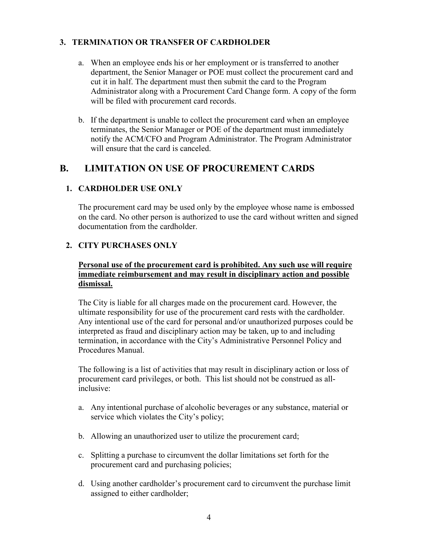#### **3. TERMINATION OR TRANSFER OF CARDHOLDER**

- a. When an employee ends his or her employment or is transferred to another department, the Senior Manager or POE must collect the procurement card and cut it in half. The department must then submit the card to the Program Administrator along with a Procurement Card Change form. A copy of the form will be filed with procurement card records.
- b. If the department is unable to collect the procurement card when an employee terminates, the Senior Manager or POE of the department must immediately notify the ACM/CFO and Program Administrator. The Program Administrator will ensure that the card is canceled.

### **B. LIMITATION ON USE OF PROCUREMENT CARDS**

#### **1. CARDHOLDER USE ONLY**

The procurement card may be used only by the employee whose name is embossed on the card. No other person is authorized to use the card without written and signed documentation from the cardholder.

#### **2. CITY PURCHASES ONLY**

#### **Personal use of the procurement card is prohibited. Any such use will require immediate reimbursement and may result in disciplinary action and possible dismissal.**

The City is liable for all charges made on the procurement card. However, the ultimate responsibility for use of the procurement card rests with the cardholder. Any intentional use of the card for personal and/or unauthorized purposes could be interpreted as fraud and disciplinary action may be taken, up to and including termination, in accordance with the City's Administrative Personnel Policy and Procedures Manual.

The following is a list of activities that may result in disciplinary action or loss of procurement card privileges, or both. This list should not be construed as allinclusive:

- a. Any intentional purchase of alcoholic beverages or any substance, material or service which violates the City's policy;
- b. Allowing an unauthorized user to utilize the procurement card;
- c. Splitting a purchase to circumvent the dollar limitations set forth for the procurement card and purchasing policies;
- d. Using another cardholder's procurement card to circumvent the purchase limit assigned to either cardholder;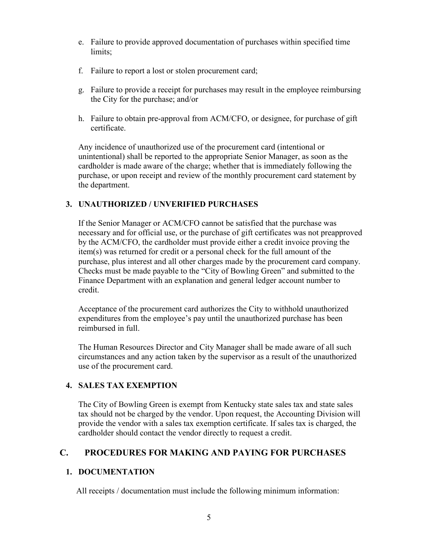- e. Failure to provide approved documentation of purchases within specified time limits;
- f. Failure to report a lost or stolen procurement card;
- g. Failure to provide a receipt for purchases may result in the employee reimbursing the City for the purchase; and/or
- h. Failure to obtain pre-approval from ACM/CFO, or designee, for purchase of gift certificate.

Any incidence of unauthorized use of the procurement card (intentional or unintentional) shall be reported to the appropriate Senior Manager, as soon as the cardholder is made aware of the charge; whether that is immediately following the purchase, or upon receipt and review of the monthly procurement card statement by the department.

#### **3. UNAUTHORIZED / UNVERIFIED PURCHASES**

If the Senior Manager or ACM/CFO cannot be satisfied that the purchase was necessary and for official use, or the purchase of gift certificates was not preapproved by the ACM/CFO, the cardholder must provide either a credit invoice proving the item(s) was returned for credit or a personal check for the full amount of the purchase, plus interest and all other charges made by the procurement card company. Checks must be made payable to the "City of Bowling Green" and submitted to the Finance Department with an explanation and general ledger account number to credit.

Acceptance of the procurement card authorizes the City to withhold unauthorized expenditures from the employee's pay until the unauthorized purchase has been reimbursed in full.

The Human Resources Director and City Manager shall be made aware of all such circumstances and any action taken by the supervisor as a result of the unauthorized use of the procurement card.

#### **4. SALES TAX EXEMPTION**

The City of Bowling Green is exempt from Kentucky state sales tax and state sales tax should not be charged by the vendor. Upon request, the Accounting Division will provide the vendor with a sales tax exemption certificate. If sales tax is charged, the cardholder should contact the vendor directly to request a credit.

### **C. PROCEDURES FOR MAKING AND PAYING FOR PURCHASES**

#### **1. DOCUMENTATION**

All receipts / documentation must include the following minimum information: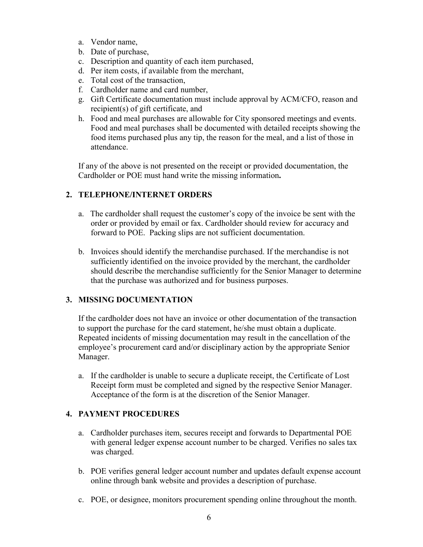- a. Vendor name,
- b. Date of purchase,
- c. Description and quantity of each item purchased,
- d. Per item costs, if available from the merchant,
- e. Total cost of the transaction,
- f. Cardholder name and card number,
- g. Gift Certificate documentation must include approval by ACM/CFO, reason and recipient(s) of gift certificate, and
- h. Food and meal purchases are allowable for City sponsored meetings and events. Food and meal purchases shall be documented with detailed receipts showing the food items purchased plus any tip, the reason for the meal, and a list of those in attendance.

If any of the above is not presented on the receipt or provided documentation, the Cardholder or POE must hand write the missing information**.** 

#### **2. TELEPHONE/INTERNET ORDERS**

- a. The cardholder shall request the customer's copy of the invoice be sent with the order or provided by email or fax. Cardholder should review for accuracy and forward to POE. Packing slips are not sufficient documentation.
- b. Invoices should identify the merchandise purchased. If the merchandise is not sufficiently identified on the invoice provided by the merchant, the cardholder should describe the merchandise sufficiently for the Senior Manager to determine that the purchase was authorized and for business purposes.

#### **3. MISSING DOCUMENTATION**

If the cardholder does not have an invoice or other documentation of the transaction to support the purchase for the card statement, he/she must obtain a duplicate. Repeated incidents of missing documentation may result in the cancellation of the employee's procurement card and/or disciplinary action by the appropriate Senior Manager.

a. If the cardholder is unable to secure a duplicate receipt, the Certificate of Lost Receipt form must be completed and signed by the respective Senior Manager. Acceptance of the form is at the discretion of the Senior Manager.

#### **4. PAYMENT PROCEDURES**

- a. Cardholder purchases item, secures receipt and forwards to Departmental POE with general ledger expense account number to be charged. Verifies no sales tax was charged.
- b. POE verifies general ledger account number and updates default expense account online through bank website and provides a description of purchase.
- c. POE, or designee, monitors procurement spending online throughout the month.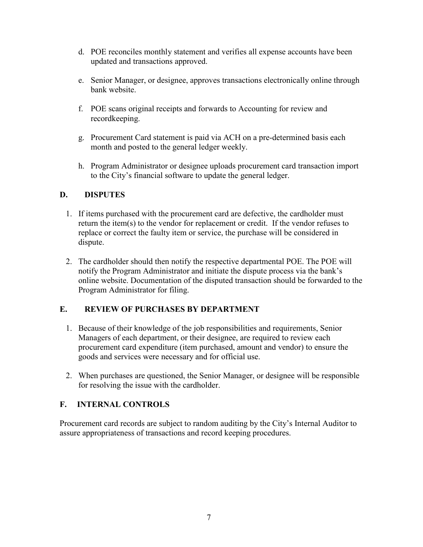- d. POE reconciles monthly statement and verifies all expense accounts have been updated and transactions approved.
- e. Senior Manager, or designee, approves transactions electronically online through bank website.
- f. POE scans original receipts and forwards to Accounting for review and recordkeeping.
- g. Procurement Card statement is paid via ACH on a pre-determined basis each month and posted to the general ledger weekly.
- h. Program Administrator or designee uploads procurement card transaction import to the City's financial software to update the general ledger.

#### **D. DISPUTES**

- 1. If items purchased with the procurement card are defective, the cardholder must return the item(s) to the vendor for replacement or credit. If the vendor refuses to replace or correct the faulty item or service, the purchase will be considered in dispute.
- 2. The cardholder should then notify the respective departmental POE. The POE will notify the Program Administrator and initiate the dispute process via the bank's online website. Documentation of the disputed transaction should be forwarded to the Program Administrator for filing.

#### **E. REVIEW OF PURCHASES BY DEPARTMENT**

- 1. Because of their knowledge of the job responsibilities and requirements, Senior Managers of each department, or their designee, are required to review each procurement card expenditure (item purchased, amount and vendor) to ensure the goods and services were necessary and for official use.
- 2. When purchases are questioned, the Senior Manager, or designee will be responsible for resolving the issue with the cardholder.

#### **F. INTERNAL CONTROLS**

Procurement card records are subject to random auditing by the City's Internal Auditor to assure appropriateness of transactions and record keeping procedures.